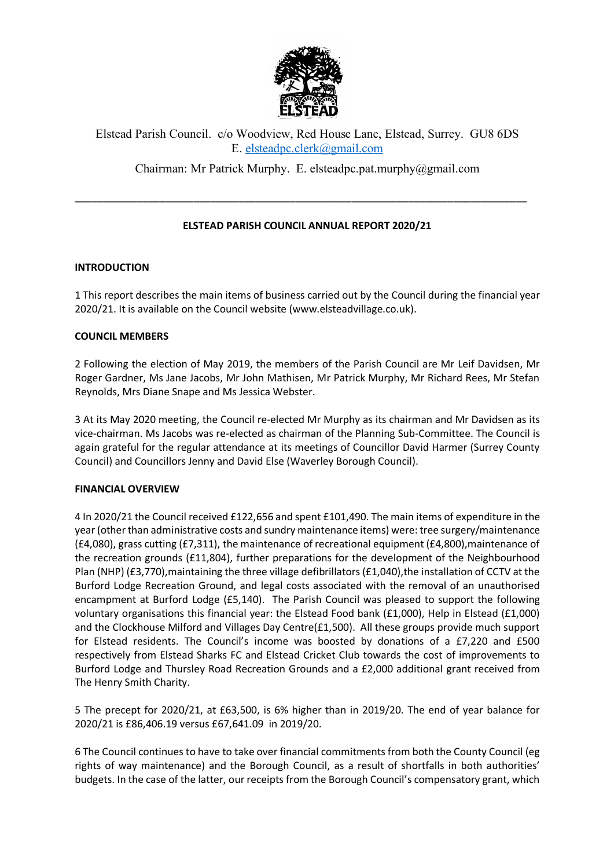

# Elstead Parish Council. c/o Woodview, Red House Lane, Elstead, Surrey. GU8 6DS E. elsteadpc.clerk@gmail.com

Chairman: Mr Patrick Murphy. E. elsteadpc.pat.murphy@gmail.com

## **ELSTEAD PARISH COUNCIL ANNUAL REPORT 2020/21**

\_\_\_\_\_\_\_\_\_\_\_\_\_\_\_\_\_\_\_\_\_\_\_\_\_\_\_\_\_\_\_\_\_\_\_\_\_\_\_\_\_\_\_\_\_\_\_\_\_\_\_\_\_\_\_\_\_\_\_\_\_\_\_\_\_\_\_\_\_\_\_\_\_\_\_\_\_\_\_\_

## **INTRODUCTION**

1 This report describes the main items of business carried out by the Council during the financial year 2020/21. It is available on the Council website (www.elsteadvillage.co.uk).

### **COUNCIL MEMBERS**

2 Following the election of May 2019, the members of the Parish Council are Mr Leif Davidsen, Mr Roger Gardner, Ms Jane Jacobs, Mr John Mathisen, Mr Patrick Murphy, Mr Richard Rees, Mr Stefan Reynolds, Mrs Diane Snape and Ms Jessica Webster.

3 At its May 2020 meeting, the Council re-elected Mr Murphy as its chairman and Mr Davidsen as its vice-chairman. Ms Jacobs was re-elected as chairman of the Planning Sub-Committee. The Council is again grateful for the regular attendance at its meetings of Councillor David Harmer (Surrey County Council) and Councillors Jenny and David Else (Waverley Borough Council).

## **FINANCIAL OVERVIEW**

4 In 2020/21 the Council received £122,656 and spent £101,490. The main items of expenditure in the year (other than administrative costs and sundry maintenance items) were: tree surgery/maintenance (£4,080), grass cutting (£7,311), the maintenance of recreational equipment (£4,800),maintenance of the recreation grounds (£11,804), further preparations for the development of the Neighbourhood Plan (NHP) (£3,770), maintaining the three village defibrillators (£1,040), the installation of CCTV at the Burford Lodge Recreation Ground, and legal costs associated with the removal of an unauthorised encampment at Burford Lodge (£5,140). The Parish Council was pleased to support the following voluntary organisations this financial year: the Elstead Food bank (£1,000), Help in Elstead (£1,000) and the Clockhouse Milford and Villages Day Centre(£1,500). All these groups provide much support for Elstead residents. The Council's income was boosted by donations of a £7,220 and £500 respectively from Elstead Sharks FC and Elstead Cricket Club towards the cost of improvements to Burford Lodge and Thursley Road Recreation Grounds and a £2,000 additional grant received from The Henry Smith Charity.

5 The precept for 2020/21, at £63,500, is 6% higher than in 2019/20. The end of year balance for 2020/21 is £86,406.19 versus £67,641.09 in 2019/20.

6 The Council continues to have to take over financial commitments from both the County Council (eg rights of way maintenance) and the Borough Council, as a result of shortfalls in both authorities' budgets. In the case of the latter, our receipts from the Borough Council's compensatory grant, which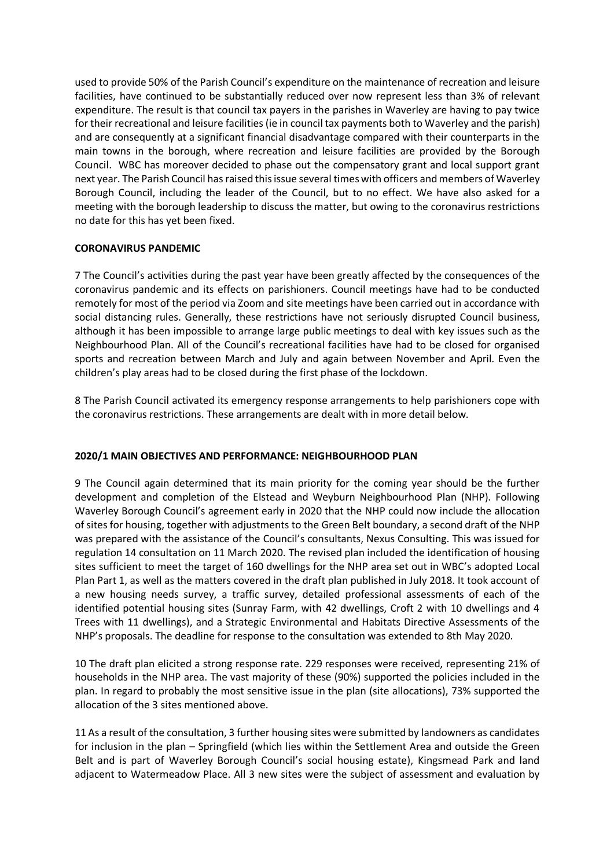used to provide 50% of the Parish Council's expenditure on the maintenance of recreation and leisure facilities, have continued to be substantially reduced over now represent less than 3% of relevant expenditure. The result is that council tax payers in the parishes in Waverley are having to pay twice for their recreational and leisure facilities (ie in council tax payments both to Waverley and the parish) and are consequently at a significant financial disadvantage compared with their counterparts in the main towns in the borough, where recreation and leisure facilities are provided by the Borough Council. WBC has moreover decided to phase out the compensatory grant and local support grant next year. The Parish Council has raised this issue several times with officers and members of Waverley Borough Council, including the leader of the Council, but to no effect. We have also asked for a meeting with the borough leadership to discuss the matter, but owing to the coronavirus restrictions no date for this has yet been fixed.

### **CORONAVIRUS PANDEMIC**

7 The Council's activities during the past year have been greatly affected by the consequences of the coronavirus pandemic and its effects on parishioners. Council meetings have had to be conducted remotely for most of the period via Zoom and site meetings have been carried out in accordance with social distancing rules. Generally, these restrictions have not seriously disrupted Council business, although it has been impossible to arrange large public meetings to deal with key issues such as the Neighbourhood Plan. All of the Council's recreational facilities have had to be closed for organised sports and recreation between March and July and again between November and April. Even the children's play areas had to be closed during the first phase of the lockdown.

8 The Parish Council activated its emergency response arrangements to help parishioners cope with the coronavirus restrictions. These arrangements are dealt with in more detail below.

## **2020/1 MAIN OBJECTIVES AND PERFORMANCE: NEIGHBOURHOOD PLAN**

9 The Council again determined that its main priority for the coming year should be the further development and completion of the Elstead and Weyburn Neighbourhood Plan (NHP). Following Waverley Borough Council's agreement early in 2020 that the NHP could now include the allocation of sites for housing, together with adjustments to the Green Belt boundary, a second draft of the NHP was prepared with the assistance of the Council's consultants, Nexus Consulting. This was issued for regulation 14 consultation on 11 March 2020. The revised plan included the identification of housing sites sufficient to meet the target of 160 dwellings for the NHP area set out in WBC's adopted Local Plan Part 1, as well as the matters covered in the draft plan published in July 2018. It took account of a new housing needs survey, a traffic survey, detailed professional assessments of each of the identified potential housing sites (Sunray Farm, with 42 dwellings, Croft 2 with 10 dwellings and 4 Trees with 11 dwellings), and a Strategic Environmental and Habitats Directive Assessments of the NHP's proposals. The deadline for response to the consultation was extended to 8th May 2020.

10 The draft plan elicited a strong response rate. 229 responses were received, representing 21% of households in the NHP area. The vast majority of these (90%) supported the policies included in the plan. In regard to probably the most sensitive issue in the plan (site allocations), 73% supported the allocation of the 3 sites mentioned above.

11 As a result of the consultation, 3 further housing sites were submitted by landowners as candidates for inclusion in the plan – Springfield (which lies within the Settlement Area and outside the Green Belt and is part of Waverley Borough Council's social housing estate), Kingsmead Park and land adjacent to Watermeadow Place. All 3 new sites were the subject of assessment and evaluation by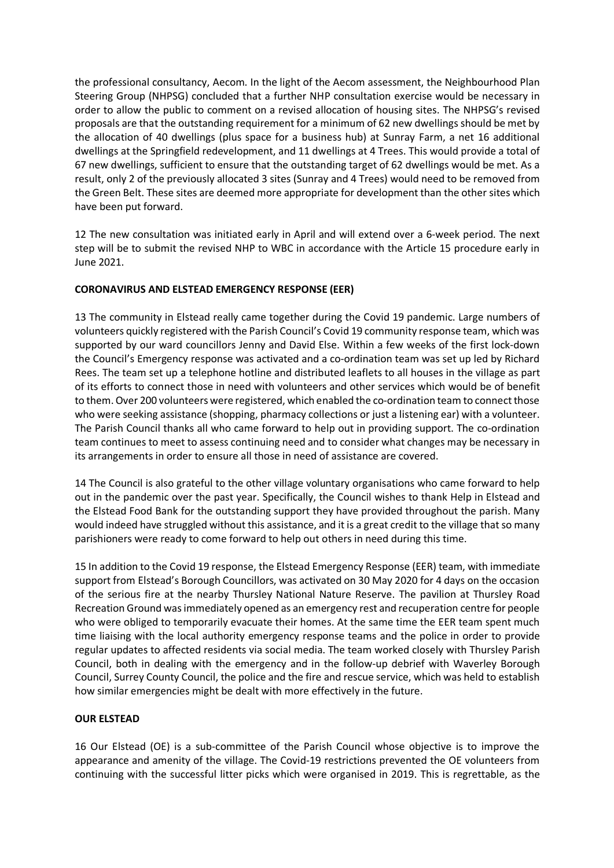the professional consultancy, Aecom. In the light of the Aecom assessment, the Neighbourhood Plan Steering Group (NHPSG) concluded that a further NHP consultation exercise would be necessary in order to allow the public to comment on a revised allocation of housing sites. The NHPSG's revised proposals are that the outstanding requirement for a minimum of 62 new dwellings should be met by the allocation of 40 dwellings (plus space for a business hub) at Sunray Farm, a net 16 additional dwellings at the Springfield redevelopment, and 11 dwellings at 4 Trees. This would provide a total of 67 new dwellings, sufficient to ensure that the outstanding target of 62 dwellings would be met. As a result, only 2 of the previously allocated 3 sites (Sunray and 4 Trees) would need to be removed from the Green Belt. These sites are deemed more appropriate for development than the other sites which have been put forward.

12 The new consultation was initiated early in April and will extend over a 6-week period. The next step will be to submit the revised NHP to WBC in accordance with the Article 15 procedure early in June 2021.

## **CORONAVIRUS AND ELSTEAD EMERGENCY RESPONSE (EER)**

13 The community in Elstead really came together during the Covid 19 pandemic. Large numbers of volunteers quickly registered with the Parish Council's Covid 19 community response team, which was supported by our ward councillors Jenny and David Else. Within a few weeks of the first lock-down the Council's Emergency response was activated and a co-ordination team was set up led by Richard Rees. The team set up a telephone hotline and distributed leaflets to all houses in the village as part of its efforts to connect those in need with volunteers and other services which would be of benefit to them. Over 200 volunteers were registered, which enabled the co-ordination team to connect those who were seeking assistance (shopping, pharmacy collections or just a listening ear) with a volunteer. The Parish Council thanks all who came forward to help out in providing support. The co-ordination team continues to meet to assess continuing need and to consider what changes may be necessary in its arrangements in order to ensure all those in need of assistance are covered.

14 The Council is also grateful to the other village voluntary organisations who came forward to help out in the pandemic over the past year. Specifically, the Council wishes to thank Help in Elstead and the Elstead Food Bank for the outstanding support they have provided throughout the parish. Many would indeed have struggled without this assistance, and it is a great credit to the village that so many parishioners were ready to come forward to help out others in need during this time.

15 In addition to the Covid 19 response, the Elstead Emergency Response (EER) team, with immediate support from Elstead's Borough Councillors, was activated on 30 May 2020 for 4 days on the occasion of the serious fire at the nearby Thursley National Nature Reserve. The pavilion at Thursley Road Recreation Ground was immediately opened as an emergency rest and recuperation centre for people who were obliged to temporarily evacuate their homes. At the same time the EER team spent much time liaising with the local authority emergency response teams and the police in order to provide regular updates to affected residents via social media. The team worked closely with Thursley Parish Council, both in dealing with the emergency and in the follow-up debrief with Waverley Borough Council, Surrey County Council, the police and the fire and rescue service, which was held to establish how similar emergencies might be dealt with more effectively in the future.

## **OUR ELSTEAD**

16 Our Elstead (OE) is a sub-committee of the Parish Council whose objective is to improve the appearance and amenity of the village. The Covid-19 restrictions prevented the OE volunteers from continuing with the successful litter picks which were organised in 2019. This is regrettable, as the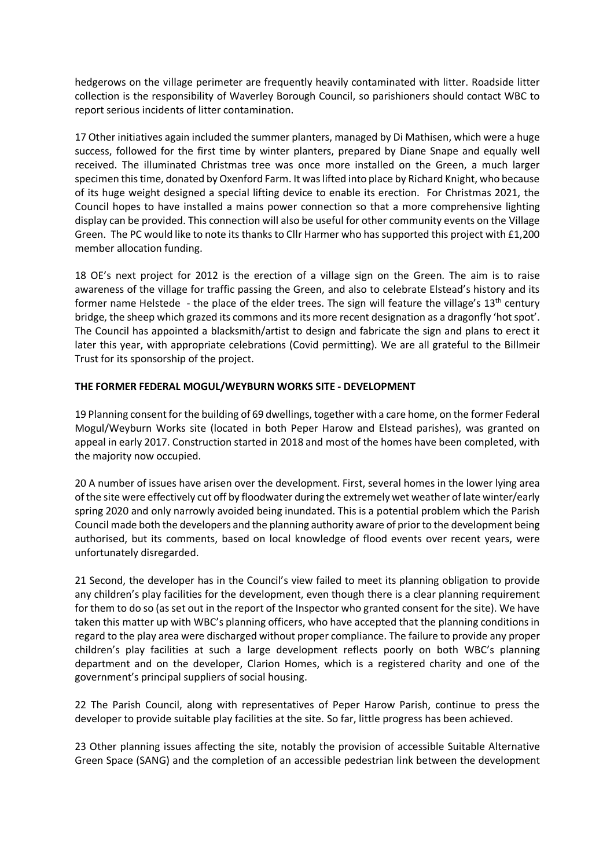hedgerows on the village perimeter are frequently heavily contaminated with litter. Roadside litter collection is the responsibility of Waverley Borough Council, so parishioners should contact WBC to report serious incidents of litter contamination.

17 Other initiatives again included the summer planters, managed by Di Mathisen, which were a huge success, followed for the first time by winter planters, prepared by Diane Snape and equally well received. The illuminated Christmas tree was once more installed on the Green, a much larger specimen this time, donated by Oxenford Farm. It was lifted into place by Richard Knight, who because of its huge weight designed a special lifting device to enable its erection. For Christmas 2021, the Council hopes to have installed a mains power connection so that a more comprehensive lighting display can be provided. This connection will also be useful for other community events on the Village Green. The PC would like to note its thanks to Cllr Harmer who has supported this project with £1,200 member allocation funding.

18 OE's next project for 2012 is the erection of a village sign on the Green. The aim is to raise awareness of the village for traffic passing the Green, and also to celebrate Elstead's history and its former name Helstede - the place of the elder trees. The sign will feature the village's  $13<sup>th</sup>$  century bridge, the sheep which grazed its commons and its more recent designation as a dragonfly 'hot spot'. The Council has appointed a blacksmith/artist to design and fabricate the sign and plans to erect it later this year, with appropriate celebrations (Covid permitting). We are all grateful to the Billmeir Trust for its sponsorship of the project.

### **THE FORMER FEDERAL MOGUL/WEYBURN WORKS SITE - DEVELOPMENT**

19 Planning consent for the building of 69 dwellings, together with a care home, on the former Federal Mogul/Weyburn Works site (located in both Peper Harow and Elstead parishes), was granted on appeal in early 2017. Construction started in 2018 and most of the homes have been completed, with the majority now occupied.

20 A number of issues have arisen over the development. First, several homes in the lower lying area of the site were effectively cut off by floodwater during the extremely wet weather of late winter/early spring 2020 and only narrowly avoided being inundated. This is a potential problem which the Parish Council made both the developers and the planning authority aware of prior to the development being authorised, but its comments, based on local knowledge of flood events over recent years, were unfortunately disregarded.

21 Second, the developer has in the Council's view failed to meet its planning obligation to provide any children's play facilities for the development, even though there is a clear planning requirement for them to do so (as set out in the report of the Inspector who granted consent for the site). We have taken this matter up with WBC's planning officers, who have accepted that the planning conditions in regard to the play area were discharged without proper compliance. The failure to provide any proper children's play facilities at such a large development reflects poorly on both WBC's planning department and on the developer, Clarion Homes, which is a registered charity and one of the government's principal suppliers of social housing.

22 The Parish Council, along with representatives of Peper Harow Parish, continue to press the developer to provide suitable play facilities at the site. So far, little progress has been achieved.

23 Other planning issues affecting the site, notably the provision of accessible Suitable Alternative Green Space (SANG) and the completion of an accessible pedestrian link between the development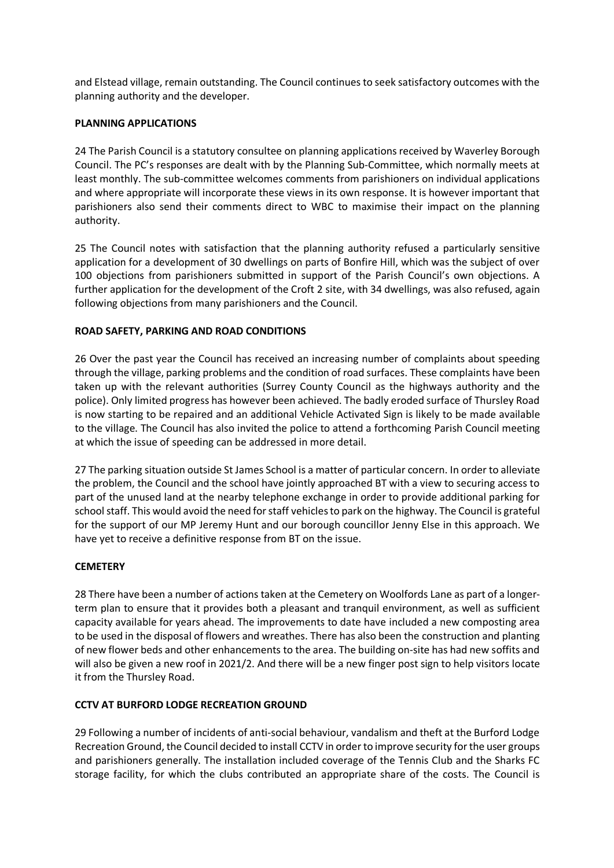and Elstead village, remain outstanding. The Council continues to seek satisfactory outcomes with the planning authority and the developer.

#### **PLANNING APPLICATIONS**

24 The Parish Council is a statutory consultee on planning applications received by Waverley Borough Council. The PC's responses are dealt with by the Planning Sub-Committee, which normally meets at least monthly. The sub-committee welcomes comments from parishioners on individual applications and where appropriate will incorporate these views in its own response. It is however important that parishioners also send their comments direct to WBC to maximise their impact on the planning authority.

25 The Council notes with satisfaction that the planning authority refused a particularly sensitive application for a development of 30 dwellings on parts of Bonfire Hill, which was the subject of over 100 objections from parishioners submitted in support of the Parish Council's own objections. A further application for the development of the Croft 2 site, with 34 dwellings, was also refused, again following objections from many parishioners and the Council.

### **ROAD SAFETY, PARKING AND ROAD CONDITIONS**

26 Over the past year the Council has received an increasing number of complaints about speeding through the village, parking problems and the condition of road surfaces. These complaints have been taken up with the relevant authorities (Surrey County Council as the highways authority and the police). Only limited progress has however been achieved. The badly eroded surface of Thursley Road is now starting to be repaired and an additional Vehicle Activated Sign is likely to be made available to the village. The Council has also invited the police to attend a forthcoming Parish Council meeting at which the issue of speeding can be addressed in more detail.

27 The parking situation outside St James School is a matter of particular concern. In order to alleviate the problem, the Council and the school have jointly approached BT with a view to securing access to part of the unused land at the nearby telephone exchange in order to provide additional parking for school staff. This would avoid the need for staff vehicles to park on the highway. The Council is grateful for the support of our MP Jeremy Hunt and our borough councillor Jenny Else in this approach. We have yet to receive a definitive response from BT on the issue.

#### **CEMETERY**

28 There have been a number of actions taken at the Cemetery on Woolfords Lane as part of a longerterm plan to ensure that it provides both a pleasant and tranquil environment, as well as sufficient capacity available for years ahead. The improvements to date have included a new composting area to be used in the disposal of flowers and wreathes. There has also been the construction and planting of new flower beds and other enhancements to the area. The building on-site has had new soffits and will also be given a new roof in 2021/2. And there will be a new finger post sign to help visitors locate it from the Thursley Road.

#### **CCTV AT BURFORD LODGE RECREATION GROUND**

29 Following a number of incidents of anti-social behaviour, vandalism and theft at the Burford Lodge Recreation Ground, the Council decided to install CCTV in order to improve security for the user groups and parishioners generally. The installation included coverage of the Tennis Club and the Sharks FC storage facility, for which the clubs contributed an appropriate share of the costs. The Council is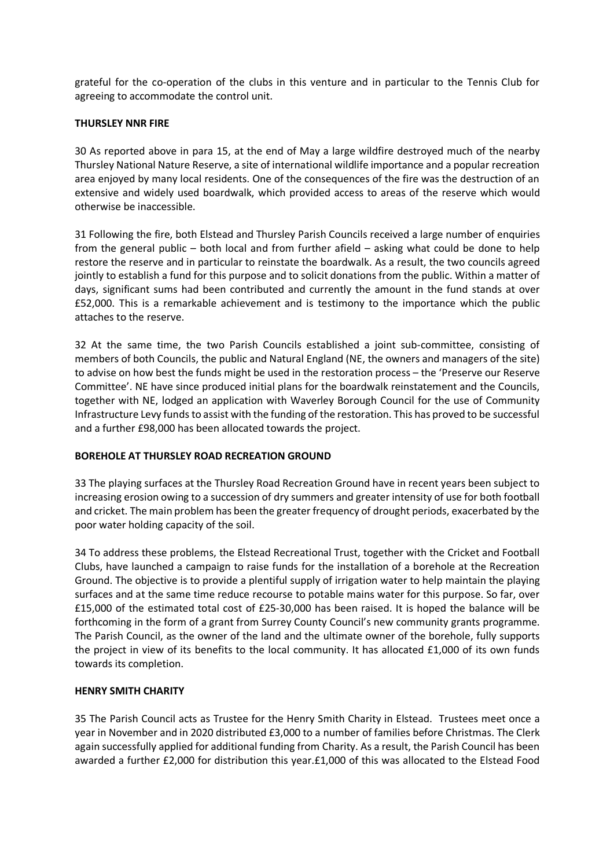grateful for the co-operation of the clubs in this venture and in particular to the Tennis Club for agreeing to accommodate the control unit.

#### **THURSLEY NNR FIRE**

30 As reported above in para 15, at the end of May a large wildfire destroyed much of the nearby Thursley National Nature Reserve, a site of international wildlife importance and a popular recreation area enjoyed by many local residents. One of the consequences of the fire was the destruction of an extensive and widely used boardwalk, which provided access to areas of the reserve which would otherwise be inaccessible.

31 Following the fire, both Elstead and Thursley Parish Councils received a large number of enquiries from the general public – both local and from further afield – asking what could be done to help restore the reserve and in particular to reinstate the boardwalk. As a result, the two councils agreed jointly to establish a fund for this purpose and to solicit donations from the public. Within a matter of days, significant sums had been contributed and currently the amount in the fund stands at over £52,000. This is a remarkable achievement and is testimony to the importance which the public attaches to the reserve.

32 At the same time, the two Parish Councils established a joint sub-committee, consisting of members of both Councils, the public and Natural England (NE, the owners and managers of the site) to advise on how best the funds might be used in the restoration process – the 'Preserve our Reserve Committee'. NE have since produced initial plans for the boardwalk reinstatement and the Councils, together with NE, lodged an application with Waverley Borough Council for the use of Community Infrastructure Levy funds to assist with the funding of the restoration. This has proved to be successful and a further £98,000 has been allocated towards the project.

#### **BOREHOLE AT THURSLEY ROAD RECREATION GROUND**

33 The playing surfaces at the Thursley Road Recreation Ground have in recent years been subject to increasing erosion owing to a succession of dry summers and greater intensity of use for both football and cricket. The main problem has been the greater frequency of drought periods, exacerbated by the poor water holding capacity of the soil.

34 To address these problems, the Elstead Recreational Trust, together with the Cricket and Football Clubs, have launched a campaign to raise funds for the installation of a borehole at the Recreation Ground. The objective is to provide a plentiful supply of irrigation water to help maintain the playing surfaces and at the same time reduce recourse to potable mains water for this purpose. So far, over £15,000 of the estimated total cost of £25-30,000 has been raised. It is hoped the balance will be forthcoming in the form of a grant from Surrey County Council's new community grants programme. The Parish Council, as the owner of the land and the ultimate owner of the borehole, fully supports the project in view of its benefits to the local community. It has allocated £1,000 of its own funds towards its completion.

#### **HENRY SMITH CHARITY**

35 The Parish Council acts as Trustee for the Henry Smith Charity in Elstead. Trustees meet once a year in November and in 2020 distributed £3,000 to a number of families before Christmas. The Clerk again successfully applied for additional funding from Charity. As a result, the Parish Council has been awarded a further £2,000 for distribution this year.£1,000 of this was allocated to the Elstead Food